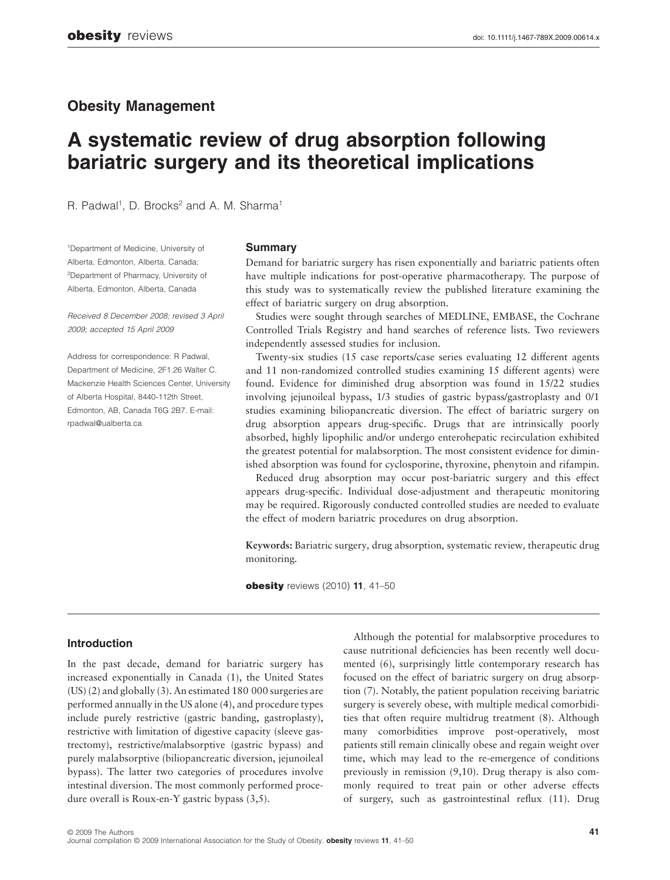## **Obesity Management**

# **A systematic review of drug absorption following bariatric surgery and its theoretical implications**

R. Padwal<sup>1</sup>, D. Brocks<sup>2</sup> and A. M. Sharma<sup>1</sup>

1Department of Medicine, University of Alberta, Edmonton, Alberta, Canada; 2Department of Pharmacy, University of Alberta, Edmonton, Alberta, Canada

*Received 8 December 2008; revised 3 April 2009; accepted 15 April 2009*

Address for correspondence: R Padwal, Department of Medicine, 2F1.26 Walter C. Mackenzie Health Sciences Center, University of Alberta Hospital, 8440-112th Street, Edmonton, AB, Canada T6G 2B7. E-mail: rpadwal@ualberta.ca

#### **Summary**

Demand for bariatric surgery has risen exponentially and bariatric patients often have multiple indications for post-operative pharmacotherapy. The purpose of this study was to systematically review the published literature examining the effect of bariatric surgery on drug absorption.

Studies were sought through searches of MEDLINE, EMBASE, the Cochrane Controlled Trials Registry and hand searches of reference lists. Two reviewers independently assessed studies for inclusion.

Twenty-six studies (15 case reports/case series evaluating 12 different agents and 11 non-randomized controlled studies examining 15 different agents) were found. Evidence for diminished drug absorption was found in 15/22 studies involving jejunoileal bypass, 1/3 studies of gastric bypass/gastroplasty and 0/1 studies examining biliopancreatic diversion. The effect of bariatric surgery on drug absorption appears drug-specific. Drugs that are intrinsically poorly absorbed, highly lipophilic and/or undergo enterohepatic recirculation exhibited the greatest potential for malabsorption. The most consistent evidence for diminished absorption was found for cyclosporine, thyroxine, phenytoin and rifampin.

Reduced drug absorption may occur post-bariatric surgery and this effect appears drug-specific. Individual dose-adjustment and therapeutic monitoring may be required. Rigorously conducted controlled studies are needed to evaluate the effect of modern bariatric procedures on drug absorption.

**Keywords:** Bariatric surgery*,* drug absorption*,* systematic review*,* therapeutic drug monitoring*.*

**obesity** reviews (2010) **11**, 41–50

## **Introduction**

In the past decade, demand for bariatric surgery has increased exponentially in Canada (1), the United States (US) (2) and globally (3). An estimated 180 000 surgeries are performed annually in the US alone (4), and procedure types include purely restrictive (gastric banding, gastroplasty), restrictive with limitation of digestive capacity (sleeve gastrectomy), restrictive/malabsorptive (gastric bypass) and purely malabsorptive (biliopancreatic diversion, jejunoileal bypass). The latter two categories of procedures involve intestinal diversion. The most commonly performed procedure overall is Roux-en-Y gastric bypass (3,5).

Although the potential for malabsorptive procedures to cause nutritional deficiencies has been recently well documented (6), surprisingly little contemporary research has focused on the effect of bariatric surgery on drug absorption (7). Notably, the patient population receiving bariatric surgery is severely obese, with multiple medical comorbidities that often require multidrug treatment (8). Although many comorbidities improve post-operatively, most patients still remain clinically obese and regain weight over time, which may lead to the re-emergence of conditions previously in remission (9,10). Drug therapy is also commonly required to treat pain or other adverse effects of surgery, such as gastrointestinal reflux (11). Drug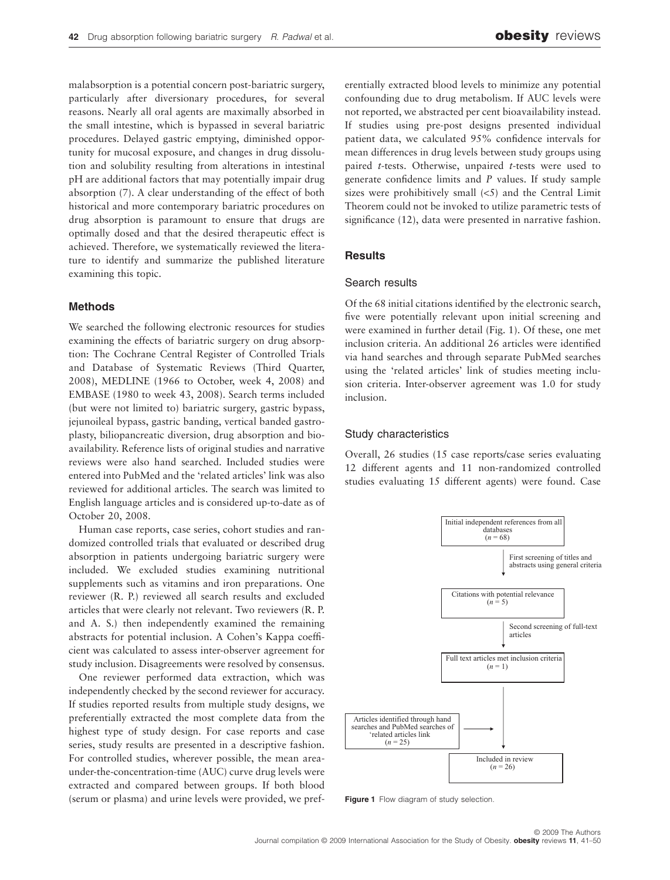malabsorption is a potential concern post-bariatric surgery, particularly after diversionary procedures, for several reasons. Nearly all oral agents are maximally absorbed in the small intestine, which is bypassed in several bariatric procedures. Delayed gastric emptying, diminished opportunity for mucosal exposure, and changes in drug dissolution and solubility resulting from alterations in intestinal pH are additional factors that may potentially impair drug absorption (7). A clear understanding of the effect of both historical and more contemporary bariatric procedures on drug absorption is paramount to ensure that drugs are optimally dosed and that the desired therapeutic effect is achieved. Therefore, we systematically reviewed the literature to identify and summarize the published literature examining this topic.

#### **Methods**

We searched the following electronic resources for studies examining the effects of bariatric surgery on drug absorption: The Cochrane Central Register of Controlled Trials and Database of Systematic Reviews (Third Quarter, 2008), MEDLINE (1966 to October, week 4, 2008) and EMBASE (1980 to week 43, 2008). Search terms included (but were not limited to) bariatric surgery, gastric bypass, jejunoileal bypass, gastric banding, vertical banded gastroplasty, biliopancreatic diversion, drug absorption and bioavailability. Reference lists of original studies and narrative reviews were also hand searched. Included studies were entered into PubMed and the 'related articles' link was also reviewed for additional articles. The search was limited to English language articles and is considered up-to-date as of October 20, 2008.

Human case reports, case series, cohort studies and randomized controlled trials that evaluated or described drug absorption in patients undergoing bariatric surgery were included. We excluded studies examining nutritional supplements such as vitamins and iron preparations. One reviewer (R. P.) reviewed all search results and excluded articles that were clearly not relevant. Two reviewers (R. P. and A. S.) then independently examined the remaining abstracts for potential inclusion. A Cohen's Kappa coefficient was calculated to assess inter-observer agreement for study inclusion. Disagreements were resolved by consensus.

One reviewer performed data extraction, which was independently checked by the second reviewer for accuracy. If studies reported results from multiple study designs, we preferentially extracted the most complete data from the highest type of study design. For case reports and case series, study results are presented in a descriptive fashion. For controlled studies, wherever possible, the mean areaunder-the-concentration-time (AUC) curve drug levels were extracted and compared between groups. If both blood (serum or plasma) and urine levels were provided, we preferentially extracted blood levels to minimize any potential confounding due to drug metabolism. If AUC levels were not reported, we abstracted per cent bioavailability instead. If studies using pre-post designs presented individual patient data, we calculated 95% confidence intervals for mean differences in drug levels between study groups using paired *t*-tests. Otherwise, unpaired *t*-tests were used to generate confidence limits and *P* values. If study sample sizes were prohibitively small  $\langle \langle 5 \rangle$  and the Central Limit Theorem could not be invoked to utilize parametric tests of significance (12), data were presented in narrative fashion.

### **Results**

#### Search results

Of the 68 initial citations identified by the electronic search, five were potentially relevant upon initial screening and were examined in further detail (Fig. 1). Of these, one met inclusion criteria. An additional 26 articles were identified via hand searches and through separate PubMed searches using the 'related articles' link of studies meeting inclusion criteria. Inter-observer agreement was 1.0 for study inclusion.

#### Study characteristics

Overall, 26 studies (15 case reports/case series evaluating 12 different agents and 11 non-randomized controlled studies evaluating 15 different agents) were found. Case



Figure 1 Flow diagram of study selection.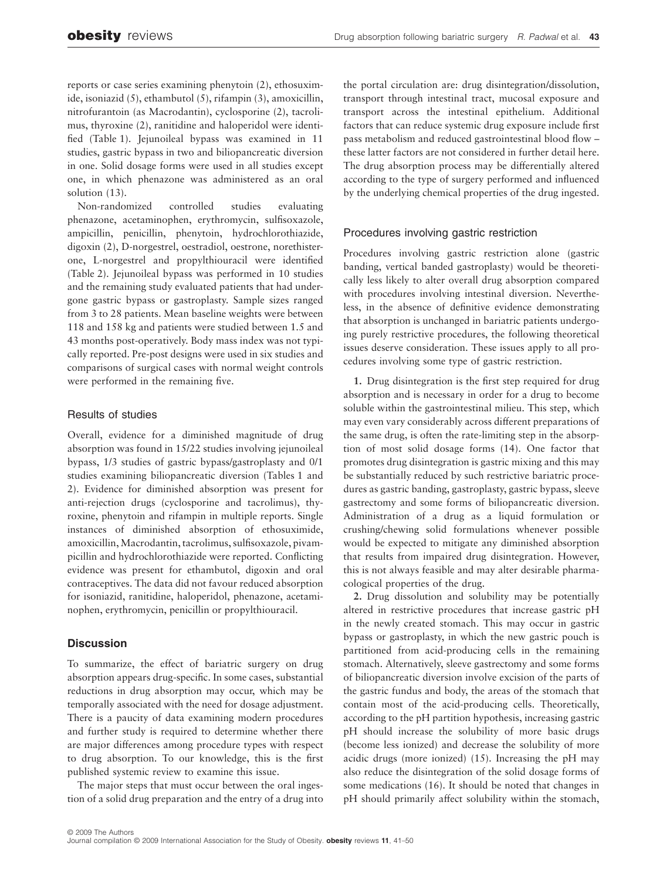reports or case series examining phenytoin (2), ethosuximide, isoniazid (5), ethambutol (5), rifampin (3), amoxicillin, nitrofurantoin (as Macrodantin), cyclosporine (2), tacrolimus, thyroxine (2), ranitidine and haloperidol were identified (Table 1). Jejunoileal bypass was examined in 11 studies, gastric bypass in two and biliopancreatic diversion in one. Solid dosage forms were used in all studies except one, in which phenazone was administered as an oral solution (13).

Non-randomized controlled studies evaluating phenazone, acetaminophen, erythromycin, sulfisoxazole, ampicillin, penicillin, phenytoin, hydrochlorothiazide, digoxin (2), D-norgestrel, oestradiol, oestrone, norethisterone, L-norgestrel and propylthiouracil were identified (Table 2). Jejunoileal bypass was performed in 10 studies and the remaining study evaluated patients that had undergone gastric bypass or gastroplasty. Sample sizes ranged from 3 to 28 patients. Mean baseline weights were between 118 and 158 kg and patients were studied between 1.5 and 43 months post-operatively. Body mass index was not typically reported. Pre-post designs were used in six studies and comparisons of surgical cases with normal weight controls were performed in the remaining five.

## Results of studies

Overall, evidence for a diminished magnitude of drug absorption was found in 15/22 studies involving jejunoileal bypass, 1/3 studies of gastric bypass/gastroplasty and 0/1 studies examining biliopancreatic diversion (Tables 1 and 2). Evidence for diminished absorption was present for anti-rejection drugs (cyclosporine and tacrolimus), thyroxine, phenytoin and rifampin in multiple reports. Single instances of diminished absorption of ethosuximide, amoxicillin, Macrodantin, tacrolimus, sulfisoxazole, pivampicillin and hydrochlorothiazide were reported. Conflicting evidence was present for ethambutol, digoxin and oral contraceptives. The data did not favour reduced absorption for isoniazid, ranitidine, haloperidol, phenazone, acetaminophen, erythromycin, penicillin or propylthiouracil.

## **Discussion**

To summarize, the effect of bariatric surgery on drug absorption appears drug-specific. In some cases, substantial reductions in drug absorption may occur, which may be temporally associated with the need for dosage adjustment. There is a paucity of data examining modern procedures and further study is required to determine whether there are major differences among procedure types with respect to drug absorption. To our knowledge, this is the first published systemic review to examine this issue.

The major steps that must occur between the oral ingestion of a solid drug preparation and the entry of a drug into the portal circulation are: drug disintegration/dissolution, transport through intestinal tract, mucosal exposure and transport across the intestinal epithelium. Additional factors that can reduce systemic drug exposure include first pass metabolism and reduced gastrointestinal blood flow – these latter factors are not considered in further detail here. The drug absorption process may be differentially altered according to the type of surgery performed and influenced by the underlying chemical properties of the drug ingested.

## Procedures involving gastric restriction

Procedures involving gastric restriction alone (gastric banding, vertical banded gastroplasty) would be theoretically less likely to alter overall drug absorption compared with procedures involving intestinal diversion. Nevertheless, in the absence of definitive evidence demonstrating that absorption is unchanged in bariatric patients undergoing purely restrictive procedures, the following theoretical issues deserve consideration. These issues apply to all procedures involving some type of gastric restriction.

**1.** Drug disintegration is the first step required for drug absorption and is necessary in order for a drug to become soluble within the gastrointestinal milieu. This step, which may even vary considerably across different preparations of the same drug, is often the rate-limiting step in the absorption of most solid dosage forms (14). One factor that promotes drug disintegration is gastric mixing and this may be substantially reduced by such restrictive bariatric procedures as gastric banding, gastroplasty, gastric bypass, sleeve gastrectomy and some forms of biliopancreatic diversion. Administration of a drug as a liquid formulation or crushing/chewing solid formulations whenever possible would be expected to mitigate any diminished absorption that results from impaired drug disintegration. However, this is not always feasible and may alter desirable pharmacological properties of the drug.

**2.** Drug dissolution and solubility may be potentially altered in restrictive procedures that increase gastric pH in the newly created stomach. This may occur in gastric bypass or gastroplasty, in which the new gastric pouch is partitioned from acid-producing cells in the remaining stomach. Alternatively, sleeve gastrectomy and some forms of biliopancreatic diversion involve excision of the parts of the gastric fundus and body, the areas of the stomach that contain most of the acid-producing cells. Theoretically, according to the pH partition hypothesis, increasing gastric pH should increase the solubility of more basic drugs (become less ionized) and decrease the solubility of more acidic drugs (more ionized) (15). Increasing the pH may also reduce the disintegration of the solid dosage forms of some medications (16). It should be noted that changes in pH should primarily affect solubility within the stomach,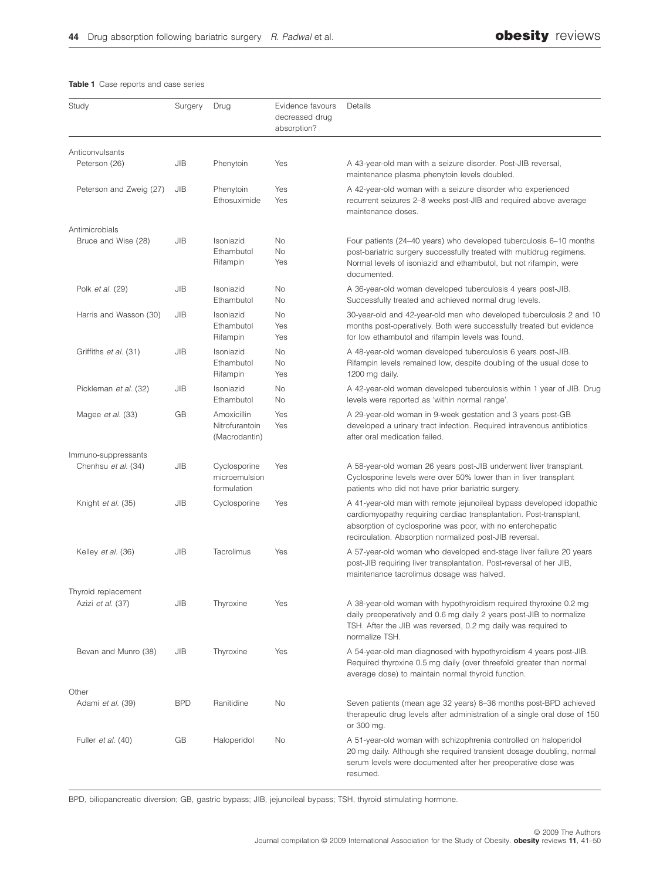#### **Table 1** Case reports and case series

| Study                    | Surgery    | Drug                                           | Evidence favours<br>decreased drug<br>absorption? | Details                                                                                                                                                                                                                                                             |
|--------------------------|------------|------------------------------------------------|---------------------------------------------------|---------------------------------------------------------------------------------------------------------------------------------------------------------------------------------------------------------------------------------------------------------------------|
| Anticonvulsants          |            |                                                |                                                   |                                                                                                                                                                                                                                                                     |
| Peterson (26)            | JIB        | Phenytoin                                      | Yes                                               | A 43-year-old man with a seizure disorder. Post-JIB reversal,<br>maintenance plasma phenytoin levels doubled.                                                                                                                                                       |
| Peterson and Zweig (27)  | JIB        | Phenytoin<br>Ethosuximide                      | Yes<br>Yes                                        | A 42-year-old woman with a seizure disorder who experienced<br>recurrent seizures 2–8 weeks post-JIB and required above average<br>maintenance doses.                                                                                                               |
| Antimicrobials           |            |                                                |                                                   |                                                                                                                                                                                                                                                                     |
| Bruce and Wise (28)      | JIB        | Isoniazid<br>Ethambutol<br>Rifampin            | No.<br><b>No</b><br>Yes                           | Four patients (24–40 years) who developed tuberculosis 6–10 months<br>post-bariatric surgery successfully treated with multidrug regimens.<br>Normal levels of isoniazid and ethambutol, but not rifampin, were<br>documented.                                      |
| Polk et al. (29)         | <b>JIB</b> | Isoniazid<br>Ethambutol                        | No<br><b>No</b>                                   | A 36-year-old woman developed tuberculosis 4 years post-JIB.<br>Successfully treated and achieved normal drug levels.                                                                                                                                               |
| Harris and Wasson (30)   | JIB        | Isoniazid<br>Ethambutol<br>Rifampin            | No.<br>Yes<br>Yes                                 | 30-year-old and 42-year-old men who developed tuberculosis 2 and 10<br>months post-operatively. Both were successfully treated but evidence<br>for low ethambutol and rifampin levels was found.                                                                    |
| Griffiths et al. (31)    | JIB        | Isoniazid<br>Ethambutol<br>Rifampin            | No<br>No<br>Yes                                   | A 48-year-old woman developed tuberculosis 6 years post-JIB.<br>Rifampin levels remained low, despite doubling of the usual dose to<br>1200 mg daily.                                                                                                               |
| Pickleman et al. (32)    | JIB        | Isoniazid<br>Ethambutol                        | No<br>No                                          | A 42-year-old woman developed tuberculosis within 1 year of JIB. Drug<br>levels were reported as 'within normal range'.                                                                                                                                             |
| Magee et al. (33)        | GB         | Amoxicillin<br>Nitrofurantoin<br>(Macrodantin) | Yes<br>Yes                                        | A 29-year-old woman in 9-week gestation and 3 years post-GB<br>developed a urinary tract infection. Required intravenous antibiotics<br>after oral medication failed.                                                                                               |
| Immuno-suppressants      |            |                                                |                                                   |                                                                                                                                                                                                                                                                     |
| Chenhsu et al. (34)      | JIB        | Cyclosporine<br>microemulsion<br>formulation   | Yes                                               | A 58-year-old woman 26 years post-JIB underwent liver transplant.<br>Cyclosporine levels were over 50% lower than in liver transplant<br>patients who did not have prior bariatric surgery.                                                                         |
| Knight et al. (35)       | JIB        | Cyclosporine                                   | Yes                                               | A 41-year-old man with remote jejunoileal bypass developed idopathic<br>cardiomyopathy requiring cardiac transplantation. Post-transplant,<br>absorption of cyclosporine was poor, with no enterohepatic<br>recirculation. Absorption normalized post-JIB reversal. |
| Kelley et al. (36)       | <b>JIB</b> | <b>Tacrolimus</b>                              | Yes                                               | A 57-year-old woman who developed end-stage liver failure 20 years<br>post-JIB requiring liver transplantation. Post-reversal of her JIB,<br>maintenance tacrolimus dosage was halved.                                                                              |
| Thyroid replacement      |            |                                                |                                                   |                                                                                                                                                                                                                                                                     |
| Azizi <i>et al.</i> (37) | JIB        | Thyroxine                                      | Yes                                               | A 38-year-old woman with hypothyroidism required thyroxine 0.2 mg<br>daily preoperatively and 0.6 mg daily 2 years post-JIB to normalize<br>TSH. After the JIB was reversed, 0.2 mg daily was required to<br>normalize TSH.                                         |
| Bevan and Munro (38)     | JIB        | Thyroxine                                      | Yes                                               | A 54-year-old man diagnosed with hypothyroidism 4 years post-JIB.<br>Required thyroxine 0.5 mg daily (over threefold greater than normal<br>average dose) to maintain normal thyroid function.                                                                      |
| Other                    |            |                                                |                                                   |                                                                                                                                                                                                                                                                     |
| Adami et al. (39)        | <b>BPD</b> | Ranitidine                                     | No.                                               | Seven patients (mean age 32 years) 8-36 months post-BPD achieved<br>therapeutic drug levels after administration of a single oral dose of 150<br>or 300 mg.                                                                                                         |
| Fuller et al. (40)       | GB         | Haloperidol                                    | No                                                | A 51-year-old woman with schizophrenia controlled on haloperidol<br>20 mg daily. Although she required transient dosage doubling, normal<br>serum levels were documented after her preoperative dose was<br>resumed.                                                |

BPD, biliopancreatic diversion; GB, gastric bypass; JIB, jejunoileal bypass; TSH, thyroid stimulating hormone.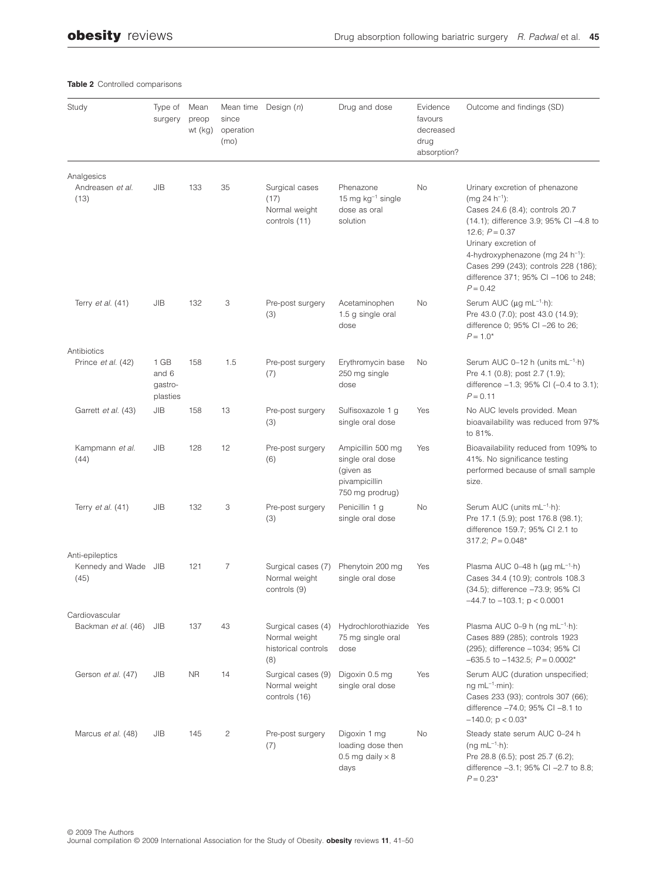| Study                                           | Type of<br>surgery                   | Mean<br>preop<br>wt (kg) | since<br>operation<br>(mo) | Mean time Design $(n)$                                            | Drug and dose                                                                          | Evidence<br>favours<br>decreased<br>drug<br>absorption? | Outcome and findings (SD)                                                                                                                                                                                                                                                                                                  |
|-------------------------------------------------|--------------------------------------|--------------------------|----------------------------|-------------------------------------------------------------------|----------------------------------------------------------------------------------------|---------------------------------------------------------|----------------------------------------------------------------------------------------------------------------------------------------------------------------------------------------------------------------------------------------------------------------------------------------------------------------------------|
| Analgesics<br>Andreasen et al.<br>(13)          | JIB                                  | 133                      | 35                         | Surgical cases<br>(17)<br>Normal weight<br>controls (11)          | Phenazone<br>15 mg $kg^{-1}$ single<br>dose as oral<br>solution                        | No                                                      | Urinary excretion of phenazone<br>$(mq 24 h^{-1})$ :<br>Cases 24.6 (8.4); controls 20.7<br>(14.1); difference 3.9; 95% CI -4.8 to<br>12.6; $P = 0.37$<br>Urinary excretion of<br>4-hydroxyphenazone (mg 24 h <sup>-1</sup> ):<br>Cases 299 (243); controls 228 (186);<br>difference 371; 95% CI -106 to 248;<br>$P = 0.42$ |
| Terry et al. (41)                               | JIB                                  | 132                      | 3                          | Pre-post surgery<br>(3)                                           | Acetaminophen<br>1.5 g single oral<br>dose                                             | No                                                      | Serum AUC ( $\mu$ g mL <sup>-1</sup> ·h):<br>Pre 43.0 (7.0); post 43.0 (14.9);<br>difference 0; 95% CI -26 to 26;<br>$P = 1.0^*$                                                                                                                                                                                           |
| Antibiotics                                     |                                      |                          |                            |                                                                   |                                                                                        |                                                         |                                                                                                                                                                                                                                                                                                                            |
| Prince et al. (42)                              | 1 GB<br>and 6<br>gastro-<br>plasties | 158                      | 1.5                        | Pre-post surgery<br>(7)                                           | Erythromycin base<br>250 mg single<br>dose                                             | No                                                      | Serum AUC 0-12 h (units mL <sup>-1.</sup> h)<br>Pre 4.1 (0.8); post 2.7 (1.9);<br>difference -1.3; 95% CI (-0.4 to 3.1);<br>$P = 0.11$                                                                                                                                                                                     |
| Garrett et al. (43)                             | JIB                                  | 158                      | 13                         | Pre-post surgery<br>(3)                                           | Sulfisoxazole 1 g<br>single oral dose                                                  | Yes                                                     | No AUC levels provided. Mean<br>bioavailability was reduced from 97%<br>to 81%.                                                                                                                                                                                                                                            |
| Kampmann et al.<br>(44)                         | <b>JIB</b>                           | 128                      | 12                         | Pre-post surgery<br>(6)                                           | Ampicillin 500 mg<br>single oral dose<br>(given as<br>pivampicillin<br>750 mg prodrug) | Yes                                                     | Bioavailability reduced from 109% to<br>41%. No significance testing<br>performed because of small sample<br>size.                                                                                                                                                                                                         |
| Terry et al. (41)                               | JIB                                  | 132                      | 3                          | Pre-post surgery<br>(3)                                           | Penicillin 1 g<br>single oral dose                                                     | No                                                      | Serum AUC (units mL <sup>-1</sup> ·h):<br>Pre 17.1 (5.9); post 176.8 (98.1);<br>difference 159.7; 95% CI 2.1 to<br>317.2; $P = 0.048*$                                                                                                                                                                                     |
| Anti-epileptics<br>Kennedy and Wade JIB<br>(45) |                                      | 121                      | 7                          | Surgical cases (7)<br>Normal weight<br>controls (9)               | Phenytoin 200 mg<br>single oral dose                                                   | Yes                                                     | Plasma AUC 0-48 h ( $\mu$ g mL <sup>-1</sup> ·h)<br>Cases 34.4 (10.9); controls 108.3<br>(34.5); difference -73.9; 95% CI<br>$-44.7$ to $-103.1$ ; p < 0.0001                                                                                                                                                              |
| Cardiovascular<br>Backman et al. (46)           | JIB                                  | 137                      | 43                         | Surgical cases (4)<br>Normal weight<br>historical controls<br>(8) | Hydrochlorothiazide Yes<br>75 mg single oral<br>dose                                   |                                                         | Plasma AUC $0-9$ h (ng mL <sup>-1</sup> ·h):<br>Cases 889 (285); controls 1923<br>(295); difference -1034; 95% CI<br>$-635.5$ to $-1432.5$ ; $P = 0.0002$ *                                                                                                                                                                |
| Gerson et al. (47)                              | JIB                                  | ΝR                       | 14                         | Surgical cases (9)<br>Normal weight<br>controls (16)              | Digoxin 0.5 mg<br>single oral dose                                                     | Yes                                                     | Serum AUC (duration unspecified;<br>ng $mL^{-1}$ ·min):<br>Cases 233 (93); controls 307 (66);<br>difference -74.0; 95% CI -8.1 to<br>$-140.0$ ; $p < 0.03$ *                                                                                                                                                               |
| Marcus et al. (48)                              | JIB                                  | 145                      | $\overline{c}$             | Pre-post surgery<br>(7)                                           | Digoxin 1 mg<br>loading dose then<br>0.5 mg daily $\times$ 8<br>days                   | No                                                      | Steady state serum AUC 0-24 h<br>$(nq mL^{-1} \cdot h)$ :<br>Pre 28.8 (6.5); post 25.7 (6.2);<br>difference -3.1; 95% CI -2.7 to 8.8;<br>$P = 0.23*$                                                                                                                                                                       |

**Table 2** Controlled comparisons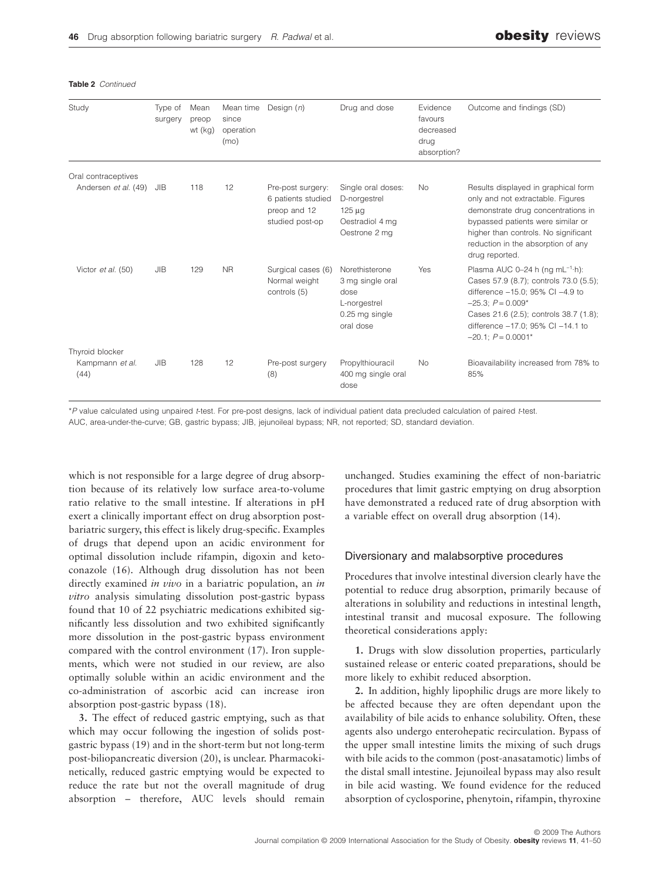**Table 2** *Continued*

| Study                                       | Type of<br>surgery | Mean<br>preop<br>wt (kg) | Mean time<br>since<br>operation<br>(mo) | Design $(n)$                                                               | Drug and dose                                                                             | Evidence<br>favours<br>decreased<br>drug<br>absorption? | Outcome and findings (SD)                                                                                                                                                                                                                                                   |
|---------------------------------------------|--------------------|--------------------------|-----------------------------------------|----------------------------------------------------------------------------|-------------------------------------------------------------------------------------------|---------------------------------------------------------|-----------------------------------------------------------------------------------------------------------------------------------------------------------------------------------------------------------------------------------------------------------------------------|
| Oral contraceptives<br>Andersen et al. (49) | JIB                | 118                      | 12                                      | Pre-post surgery:<br>6 patients studied<br>preop and 12<br>studied post-op | Single oral doses:<br>D-norgestrel<br>$125 \mu g$<br>Oestradiol 4 mg<br>Oestrone 2 mg     | <b>No</b>                                               | Results displayed in graphical form<br>only and not extractable. Figures<br>demonstrate drug concentrations in<br>bypassed patients were similar or<br>higher than controls. No significant<br>reduction in the absorption of any<br>drug reported.                         |
| Victor et al. (50)                          | <b>JIB</b>         | 129                      | <b>NR</b>                               | Surgical cases (6)<br>Normal weight<br>controls (5)                        | Norethisterone<br>3 mg single oral<br>dose<br>L-norgestrel<br>0.25 mg single<br>oral dose | Yes                                                     | Plasma AUC $0-24$ h (ng mL <sup>-1</sup> ·h):<br>Cases 57.9 (8.7); controls 73.0 (5.5);<br>difference -15.0; 95% CI -4.9 to<br>$-25.3$ : $P = 0.009*$<br>Cases 21.6 (2.5); controls 38.7 (1.8);<br>difference -17.0; 95% CI -14.1 to<br>$-20.1$ ; $P = 0.0001$ <sup>*</sup> |
| Thyroid blocker<br>Kampmann et al.<br>(44)  | <b>JIB</b>         | 128                      | 12                                      | Pre-post surgery<br>(8)                                                    | Propylthiouracil<br>400 mg single oral<br>dose                                            | <b>No</b>                                               | Bioavailability increased from 78% to<br>85%                                                                                                                                                                                                                                |

\**P* value calculated using unpaired *t*-test. For pre-post designs, lack of individual patient data precluded calculation of paired *t*-test. AUC, area-under-the-curve; GB, gastric bypass; JIB, jejunoileal bypass; NR, not reported; SD, standard deviation.

which is not responsible for a large degree of drug absorption because of its relatively low surface area-to-volume ratio relative to the small intestine. If alterations in pH exert a clinically important effect on drug absorption postbariatric surgery, this effect is likely drug-specific. Examples of drugs that depend upon an acidic environment for optimal dissolution include rifampin, digoxin and ketoconazole (16). Although drug dissolution has not been directly examined *in vivo* in a bariatric population, an *in vitro* analysis simulating dissolution post-gastric bypass found that 10 of 22 psychiatric medications exhibited significantly less dissolution and two exhibited significantly more dissolution in the post-gastric bypass environment compared with the control environment (17). Iron supplements, which were not studied in our review, are also optimally soluble within an acidic environment and the co-administration of ascorbic acid can increase iron absorption post-gastric bypass (18).

**3.** The effect of reduced gastric emptying, such as that which may occur following the ingestion of solids postgastric bypass (19) and in the short-term but not long-term post-biliopancreatic diversion (20), is unclear. Pharmacokinetically, reduced gastric emptying would be expected to reduce the rate but not the overall magnitude of drug absorption – therefore, AUC levels should remain

unchanged. Studies examining the effect of non-bariatric procedures that limit gastric emptying on drug absorption have demonstrated a reduced rate of drug absorption with a variable effect on overall drug absorption (14).

#### Diversionary and malabsorptive procedures

Procedures that involve intestinal diversion clearly have the potential to reduce drug absorption, primarily because of alterations in solubility and reductions in intestinal length, intestinal transit and mucosal exposure. The following theoretical considerations apply:

**1.** Drugs with slow dissolution properties, particularly sustained release or enteric coated preparations, should be more likely to exhibit reduced absorption.

**2.** In addition, highly lipophilic drugs are more likely to be affected because they are often dependant upon the availability of bile acids to enhance solubility. Often, these agents also undergo enterohepatic recirculation. Bypass of the upper small intestine limits the mixing of such drugs with bile acids to the common (post-anasatamotic) limbs of the distal small intestine. Jejunoileal bypass may also result in bile acid wasting. We found evidence for the reduced absorption of cyclosporine, phenytoin, rifampin, thyroxine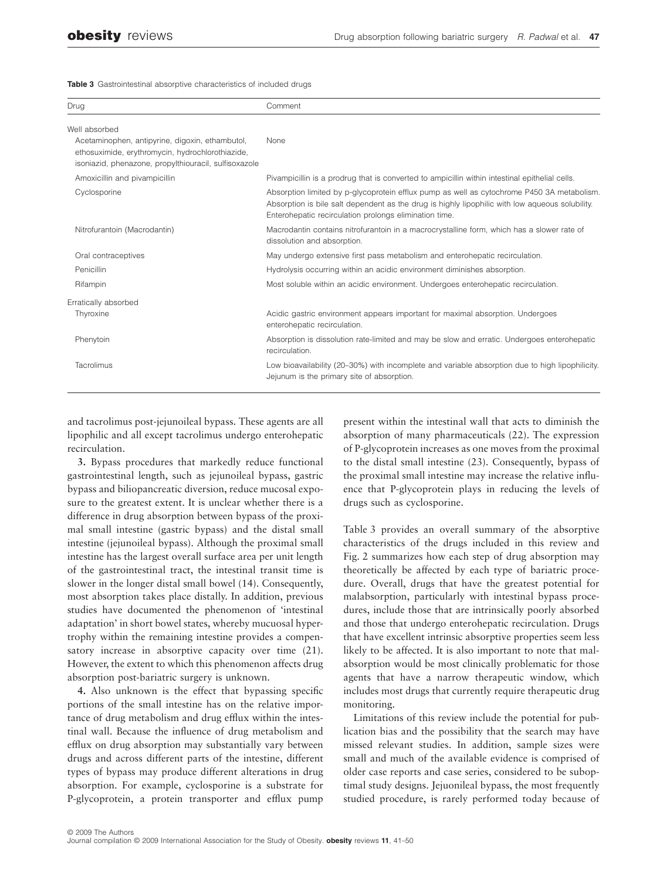**Table 3** Gastrointestinal absorptive characteristics of included drugs

| Drug                                                                                                                                                         | Comment                                                                                                                                                                                                                                                 |
|--------------------------------------------------------------------------------------------------------------------------------------------------------------|---------------------------------------------------------------------------------------------------------------------------------------------------------------------------------------------------------------------------------------------------------|
| Well absorbed                                                                                                                                                |                                                                                                                                                                                                                                                         |
| Acetaminophen, antipyrine, digoxin, ethambutol,<br>ethosuximide, erythromycin, hydrochlorothiazide,<br>isoniazid, phenazone, propylthiouracil, sulfisoxazole | None                                                                                                                                                                                                                                                    |
| Amoxicillin and pivampicillin                                                                                                                                | Pivampicillin is a prodrug that is converted to ampicillin within intestinal epithelial cells.                                                                                                                                                          |
| Cyclosporine                                                                                                                                                 | Absorption limited by p-glycoprotein efflux pump as well as cytochrome P450 3A metabolism.<br>Absorption is bile salt dependent as the drug is highly lipophilic with low agueous solubility.<br>Enterohepatic recirculation prolongs elimination time. |
| Nitrofurantoin (Macrodantin)                                                                                                                                 | Macrodantin contains nitrofurantoin in a macrocrystalline form, which has a slower rate of<br>dissolution and absorption.                                                                                                                               |
| Oral contraceptives                                                                                                                                          | May undergo extensive first pass metabolism and enterohepatic recirculation.                                                                                                                                                                            |
| Penicillin                                                                                                                                                   | Hydrolysis occurring within an acidic environment diminishes absorption.                                                                                                                                                                                |
| Rifampin                                                                                                                                                     | Most soluble within an acidic environment. Undergoes enterohepatic recirculation.                                                                                                                                                                       |
| Erratically absorbed                                                                                                                                         |                                                                                                                                                                                                                                                         |
| Thyroxine                                                                                                                                                    | Acidic gastric environment appears important for maximal absorption. Undergoes<br>enterohepatic recirculation.                                                                                                                                          |
| Phenytoin                                                                                                                                                    | Absorption is dissolution rate-limited and may be slow and erratic. Undergoes enterohepatic<br>recirculation.                                                                                                                                           |
| Tacrolimus                                                                                                                                                   | Low bioavailability (20–30%) with incomplete and variable absorption due to high lipophilicity.<br>Jejunum is the primary site of absorption.                                                                                                           |

and tacrolimus post-jejunoileal bypass. These agents are all lipophilic and all except tacrolimus undergo enterohepatic recirculation.

**3.** Bypass procedures that markedly reduce functional gastrointestinal length, such as jejunoileal bypass, gastric bypass and biliopancreatic diversion, reduce mucosal exposure to the greatest extent. It is unclear whether there is a difference in drug absorption between bypass of the proximal small intestine (gastric bypass) and the distal small intestine (jejunoileal bypass). Although the proximal small intestine has the largest overall surface area per unit length of the gastrointestinal tract, the intestinal transit time is slower in the longer distal small bowel (14). Consequently, most absorption takes place distally. In addition, previous studies have documented the phenomenon of 'intestinal adaptation' in short bowel states, whereby mucuosal hypertrophy within the remaining intestine provides a compensatory increase in absorptive capacity over time (21). However, the extent to which this phenomenon affects drug absorption post-bariatric surgery is unknown.

**4.** Also unknown is the effect that bypassing specific portions of the small intestine has on the relative importance of drug metabolism and drug efflux within the intestinal wall. Because the influence of drug metabolism and efflux on drug absorption may substantially vary between drugs and across different parts of the intestine, different types of bypass may produce different alterations in drug absorption. For example, cyclosporine is a substrate for P-glycoprotein, a protein transporter and efflux pump present within the intestinal wall that acts to diminish the absorption of many pharmaceuticals (22). The expression of P-glycoprotein increases as one moves from the proximal to the distal small intestine (23). Consequently, bypass of the proximal small intestine may increase the relative influence that P-glycoprotein plays in reducing the levels of drugs such as cyclosporine.

Table 3 provides an overall summary of the absorptive characteristics of the drugs included in this review and Fig. 2 summarizes how each step of drug absorption may theoretically be affected by each type of bariatric procedure. Overall, drugs that have the greatest potential for malabsorption, particularly with intestinal bypass procedures, include those that are intrinsically poorly absorbed and those that undergo enterohepatic recirculation. Drugs that have excellent intrinsic absorptive properties seem less likely to be affected. It is also important to note that malabsorption would be most clinically problematic for those agents that have a narrow therapeutic window, which includes most drugs that currently require therapeutic drug monitoring.

Limitations of this review include the potential for publication bias and the possibility that the search may have missed relevant studies. In addition, sample sizes were small and much of the available evidence is comprised of older case reports and case series, considered to be suboptimal study designs. Jejuonileal bypass, the most frequently studied procedure, is rarely performed today because of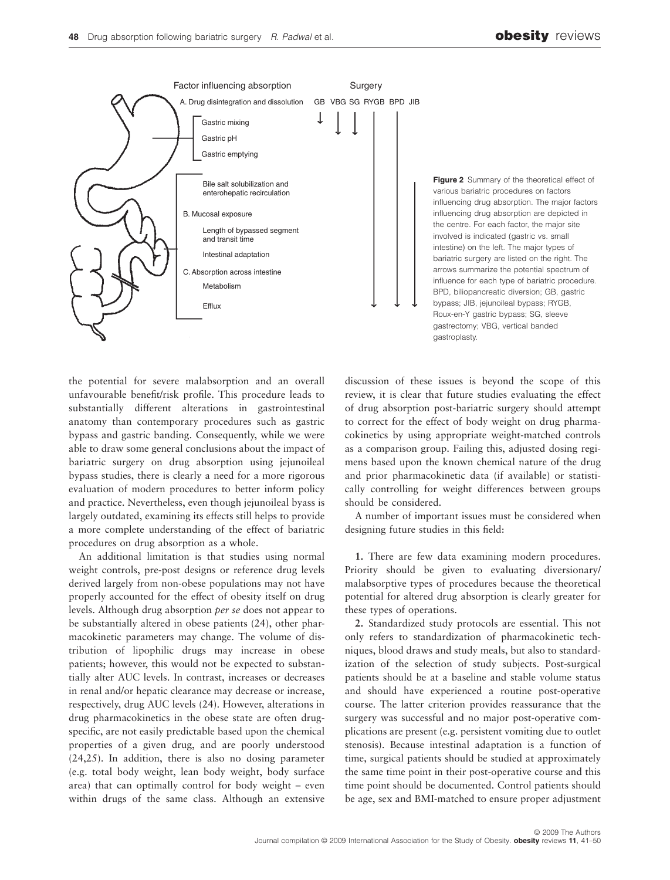

the potential for severe malabsorption and an overall unfavourable benefit/risk profile. This procedure leads to substantially different alterations in gastrointestinal anatomy than contemporary procedures such as gastric bypass and gastric banding. Consequently, while we were able to draw some general conclusions about the impact of bariatric surgery on drug absorption using jejunoileal bypass studies, there is clearly a need for a more rigorous evaluation of modern procedures to better inform policy and practice. Nevertheless, even though jejunoileal byass is largely outdated, examining its effects still helps to provide a more complete understanding of the effect of bariatric procedures on drug absorption as a whole.

An additional limitation is that studies using normal weight controls, pre-post designs or reference drug levels derived largely from non-obese populations may not have properly accounted for the effect of obesity itself on drug levels. Although drug absorption *per se* does not appear to be substantially altered in obese patients (24), other pharmacokinetic parameters may change. The volume of distribution of lipophilic drugs may increase in obese patients; however, this would not be expected to substantially alter AUC levels. In contrast, increases or decreases in renal and/or hepatic clearance may decrease or increase, respectively, drug AUC levels (24). However, alterations in drug pharmacokinetics in the obese state are often drugspecific, are not easily predictable based upon the chemical properties of a given drug, and are poorly understood (24,25). In addition, there is also no dosing parameter (e.g. total body weight, lean body weight, body surface area) that can optimally control for body weight – even within drugs of the same class. Although an extensive

discussion of these issues is beyond the scope of this review, it is clear that future studies evaluating the effect of drug absorption post-bariatric surgery should attempt to correct for the effect of body weight on drug pharmacokinetics by using appropriate weight-matched controls as a comparison group. Failing this, adjusted dosing regimens based upon the known chemical nature of the drug and prior pharmacokinetic data (if available) or statistically controlling for weight differences between groups should be considered.

A number of important issues must be considered when designing future studies in this field:

**1.** There are few data examining modern procedures. Priority should be given to evaluating diversionary/ malabsorptive types of procedures because the theoretical potential for altered drug absorption is clearly greater for these types of operations.

**2.** Standardized study protocols are essential. This not only refers to standardization of pharmacokinetic techniques, blood draws and study meals, but also to standardization of the selection of study subjects. Post-surgical patients should be at a baseline and stable volume status and should have experienced a routine post-operative course. The latter criterion provides reassurance that the surgery was successful and no major post-operative complications are present (e.g. persistent vomiting due to outlet stenosis). Because intestinal adaptation is a function of time, surgical patients should be studied at approximately the same time point in their post-operative course and this time point should be documented. Control patients should be age, sex and BMI-matched to ensure proper adjustment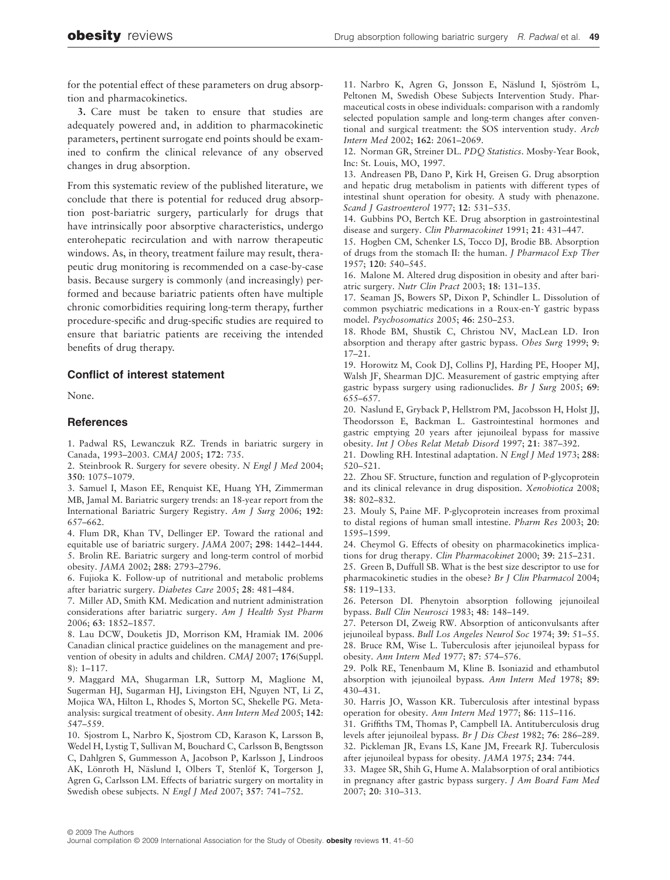for the potential effect of these parameters on drug absorption and pharmacokinetics.

**3.** Care must be taken to ensure that studies are adequately powered and, in addition to pharmacokinetic parameters, pertinent surrogate end points should be examined to confirm the clinical relevance of any observed changes in drug absorption.

From this systematic review of the published literature, we conclude that there is potential for reduced drug absorption post-bariatric surgery, particularly for drugs that have intrinsically poor absorptive characteristics, undergo enterohepatic recirculation and with narrow therapeutic windows. As, in theory, treatment failure may result, therapeutic drug monitoring is recommended on a case-by-case basis. Because surgery is commonly (and increasingly) performed and because bariatric patients often have multiple chronic comorbidities requiring long-term therapy, further procedure-specific and drug-specific studies are required to ensure that bariatric patients are receiving the intended benefits of drug therapy.

#### **Conflict of interest statement**

None.

#### **References**

1. Padwal RS, Lewanczuk RZ. Trends in bariatric surgery in Canada, 1993–2003. *CMAJ* 2005; **172**: 735.

2. Steinbrook R. Surgery for severe obesity. *N Engl J Med* 2004; **350**: 1075–1079.

3. Samuel I, Mason EE, Renquist KE, Huang YH, Zimmerman MB, Jamal M. Bariatric surgery trends: an 18-year report from the International Bariatric Surgery Registry. *Am J Surg* 2006; **192**: 657–662.

4. Flum DR, Khan TV, Dellinger EP. Toward the rational and equitable use of bariatric surgery. *JAMA* 2007; **298**: 1442–1444. 5. Brolin RE. Bariatric surgery and long-term control of morbid obesity. *JAMA* 2002; **288**: 2793–2796.

6. Fujioka K. Follow-up of nutritional and metabolic problems after bariatric surgery. *Diabetes Care* 2005; **28**: 481–484.

7. Miller AD, Smith KM. Medication and nutrient administration considerations after bariatric surgery. *Am J Health Syst Pharm* 2006; **63**: 1852–1857.

8. Lau DCW, Douketis JD, Morrison KM, Hramiak IM. 2006 Canadian clinical practice guidelines on the management and prevention of obesity in adults and children. *CMAJ* 2007; **176**(Suppl. 8): 1–117.

9. Maggard MA, Shugarman LR, Suttorp M, Maglione M, Sugerman HJ, Sugarman HJ, Livingston EH, Nguyen NT, Li Z, Mojica WA, Hilton L, Rhodes S, Morton SC, Shekelle PG. Metaanalysis: surgical treatment of obesity. *Ann Intern Med* 2005; **142**: 547–559.

10. Sjostrom L, Narbro K, Sjostrom CD, Karason K, Larsson B, Wedel H, Lystig T, Sullivan M, Bouchard C, Carlsson B, Bengtsson C, Dahlgren S, Gummesson A, Jacobson P, Karlsson J, Lindroos AK, Lönroth H, Näslund I, Olbers T, Stenlöf K, Torgerson J, Agren G, Carlsson LM. Effects of bariatric surgery on mortality in Swedish obese subjects. *N Engl J Med* 2007; **357**: 741–752.

11. Narbro K, Agren G, Jonsson E, Näslund I, Sjöström L, Peltonen M, Swedish Obese Subjects Intervention Study. Pharmaceutical costs in obese individuals: comparison with a randomly selected population sample and long-term changes after conventional and surgical treatment: the SOS intervention study. *Arch Intern Med* 2002; **162**: 2061–2069.

12. Norman GR, Streiner DL. *PDQ Statistics*. Mosby-Year Book, Inc: St. Louis, MO, 1997.

13. Andreasen PB, Dano P, Kirk H, Greisen G. Drug absorption and hepatic drug metabolism in patients with different types of intestinal shunt operation for obesity. A study with phenazone. *Scand J Gastroenterol* 1977; **12**: 531–535.

14. Gubbins PO, Bertch KE. Drug absorption in gastrointestinal disease and surgery. *Clin Pharmacokinet* 1991; **21**: 431–447.

15. Hogben CM, Schenker LS, Tocco DJ, Brodie BB. Absorption of drugs from the stomach II: the human. *J Pharmacol Exp Ther* 1957; **120**: 540–545.

16. Malone M. Altered drug disposition in obesity and after bariatric surgery. *Nutr Clin Pract* 2003; **18**: 131–135.

17. Seaman JS, Bowers SP, Dixon P, Schindler L. Dissolution of common psychiatric medications in a Roux-en-Y gastric bypass model. *Psychosomatics* 2005; **46**: 250–253.

18. Rhode BM, Shustik C, Christou NV, MacLean LD. Iron absorption and therapy after gastric bypass. *Obes Surg* 1999; **9**: 17–21.

19. Horowitz M, Cook DJ, Collins PJ, Harding PE, Hooper MJ, Walsh JF, Shearman DJC. Measurement of gastric emptying after gastric bypass surgery using radionuclides. *Br J Surg* 2005; **69**: 655–657.

20. Naslund E, Gryback P, Hellstrom PM, Jacobsson H, Holst JJ, Theodorsson E, Backman L. Gastrointestinal hormones and gastric emptying 20 years after jejunoileal bypass for massive obesity. *Int J Obes Relat Metab Disord* 1997; **21**: 387–392.

21. Dowling RH. Intestinal adaptation. *N Engl J Med* 1973; **288**: 520–521.

22. Zhou SF. Structure, function and regulation of P-glycoprotein and its clinical relevance in drug disposition. *Xenobiotica* 2008; **38**: 802–832.

23. Mouly S, Paine MF. P-glycoprotein increases from proximal to distal regions of human small intestine. *Pharm Res* 2003; **20**: 1595–1599.

24. Cheymol G. Effects of obesity on pharmacokinetics implications for drug therapy. *Clin Pharmacokinet* 2000; **39**: 215–231.

25. Green B, Duffull SB. What is the best size descriptor to use for pharmacokinetic studies in the obese? *Br J Clin Pharmacol* 2004; **58**: 119–133.

26. Peterson DI. Phenytoin absorption following jejunoileal bypass. *Bull Clin Neurosci* 1983; **48**: 148–149.

27. Peterson DI, Zweig RW. Absorption of anticonvulsants after jejunoileal bypass. *Bull Los Angeles Neurol Soc* 1974; **39**: 51–55. 28. Bruce RM, Wise L. Tuberculosis after jejunoileal bypass for obesity. *Ann Intern Med* 1977; **87**: 574–576.

29. Polk RE, Tenenbaum M, Kline B. Isoniazid and ethambutol absorption with jejunoileal bypass. *Ann Intern Med* 1978; **89**: 430–431.

30. Harris JO, Wasson KR. Tuberculosis after intestinal bypass operation for obesity. *Ann Intern Med* 1977; **86**: 115–116.

31. Griffiths TM, Thomas P, Campbell IA. Antituberculosis drug levels after jejunoileal bypass. *Br J Dis Chest* 1982; **76**: 286–289. 32. Pickleman JR, Evans LS, Kane JM, Freeark RJ. Tuberculosis after jejunoileal bypass for obesity. *JAMA* 1975; **234**: 744.

33. Magee SR, Shih G, Hume A. Malabsorption of oral antibiotics in pregnancy after gastric bypass surgery. *J Am Board Fam Med* 2007; **20**: 310–313.